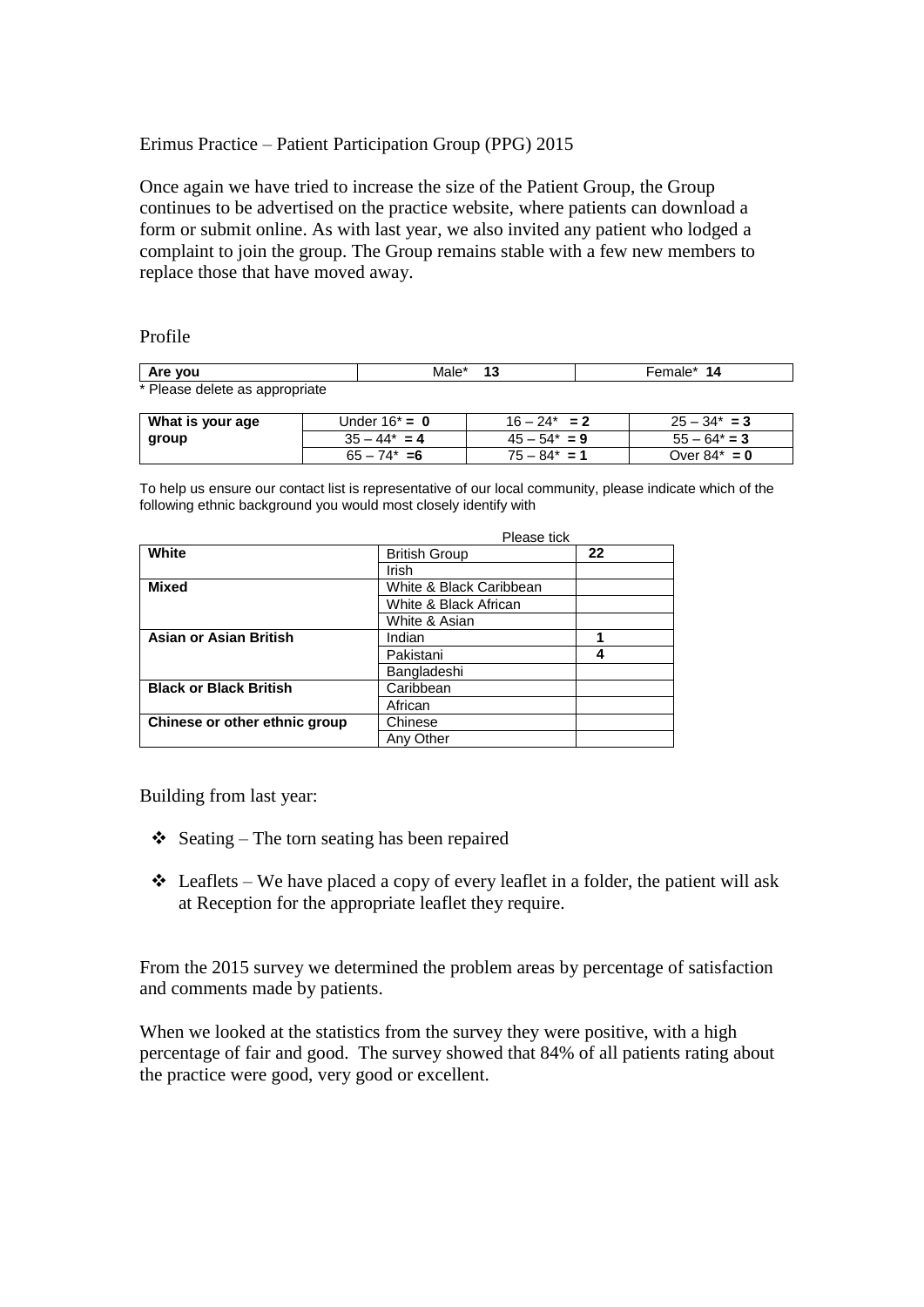# Erimus Practice – Patient Participation Group (PPG) 2015

Once again we have tried to increase the size of the Patient Group, the Group continues to be advertised on the practice website, where patients can download a form or submit online. As with last year, we also invited any patient who lodged a complaint to join the group. The Group remains stable with a few new members to replace those that have moved away.

## Profile

| Are vou                        | Male*            | 13              | Female* 14      |  |
|--------------------------------|------------------|-----------------|-----------------|--|
| * Please delete as appropriate |                  |                 |                 |  |
|                                |                  |                 |                 |  |
| What is your age               | Under $16^* = 0$ | $16 - 24^* = 2$ | $25 - 34^* = 3$ |  |
| group                          | $35 - 44^* = 4$  | $45 - 54^* = 9$ | $55 - 64^* = 3$ |  |
|                                | $65 - 74^* = 6$  | $75 - 84^* = 1$ | Over $84^* = 0$ |  |

 $75 - 84^* = 1$  Over  $84^* = 0$ 

To help us ensure our contact list is representative of our local community, please indicate which of the following ethnic background you would most closely identify with

|                               | Please tick             |    |  |
|-------------------------------|-------------------------|----|--|
| White                         | <b>British Group</b>    | 22 |  |
|                               | Irish                   |    |  |
| <b>Mixed</b>                  | White & Black Caribbean |    |  |
|                               | White & Black African   |    |  |
|                               | White & Asian           |    |  |
| <b>Asian or Asian British</b> | Indian                  | 4  |  |
|                               | Pakistani               | 4  |  |
|                               | Bangladeshi             |    |  |
| <b>Black or Black British</b> | Caribbean               |    |  |
|                               | African                 |    |  |
| Chinese or other ethnic group | Chinese                 |    |  |
|                               | Any Other               |    |  |

Building from last year:

- $\triangle$  Seating The torn seating has been repaired
- $\triangleleft$  Leaflets We have placed a copy of every leaflet in a folder, the patient will ask at Reception for the appropriate leaflet they require.

From the 2015 survey we determined the problem areas by percentage of satisfaction and comments made by patients.

When we looked at the statistics from the survey they were positive, with a high percentage of fair and good. The survey showed that 84% of all patients rating about the practice were good, very good or excellent.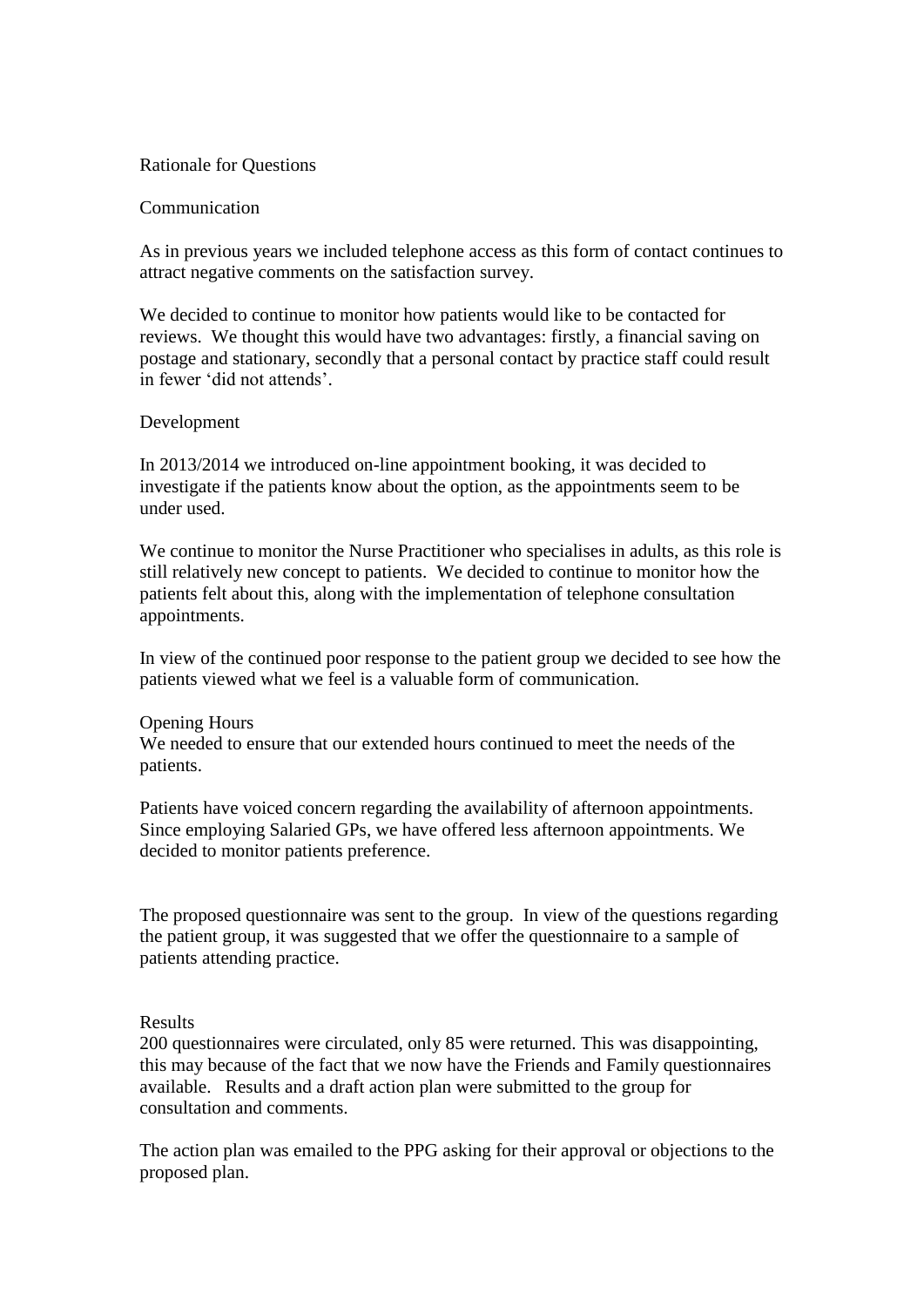### Rationale for Questions

### Communication

As in previous years we included telephone access as this form of contact continues to attract negative comments on the satisfaction survey.

We decided to continue to monitor how patients would like to be contacted for reviews. We thought this would have two advantages: firstly, a financial saving on postage and stationary, secondly that a personal contact by practice staff could result in fewer 'did not attends'.

## Development

In 2013/2014 we introduced on-line appointment booking, it was decided to investigate if the patients know about the option, as the appointments seem to be under used.

We continue to monitor the Nurse Practitioner who specialises in adults, as this role is still relatively new concept to patients. We decided to continue to monitor how the patients felt about this, along with the implementation of telephone consultation appointments.

In view of the continued poor response to the patient group we decided to see how the patients viewed what we feel is a valuable form of communication.

#### Opening Hours

We needed to ensure that our extended hours continued to meet the needs of the patients.

Patients have voiced concern regarding the availability of afternoon appointments. Since employing Salaried GPs, we have offered less afternoon appointments. We decided to monitor patients preference.

The proposed questionnaire was sent to the group. In view of the questions regarding the patient group, it was suggested that we offer the questionnaire to a sample of patients attending practice.

#### Results

200 questionnaires were circulated, only 85 were returned. This was disappointing, this may because of the fact that we now have the Friends and Family questionnaires available. Results and a draft action plan were submitted to the group for consultation and comments.

The action plan was emailed to the PPG asking for their approval or objections to the proposed plan.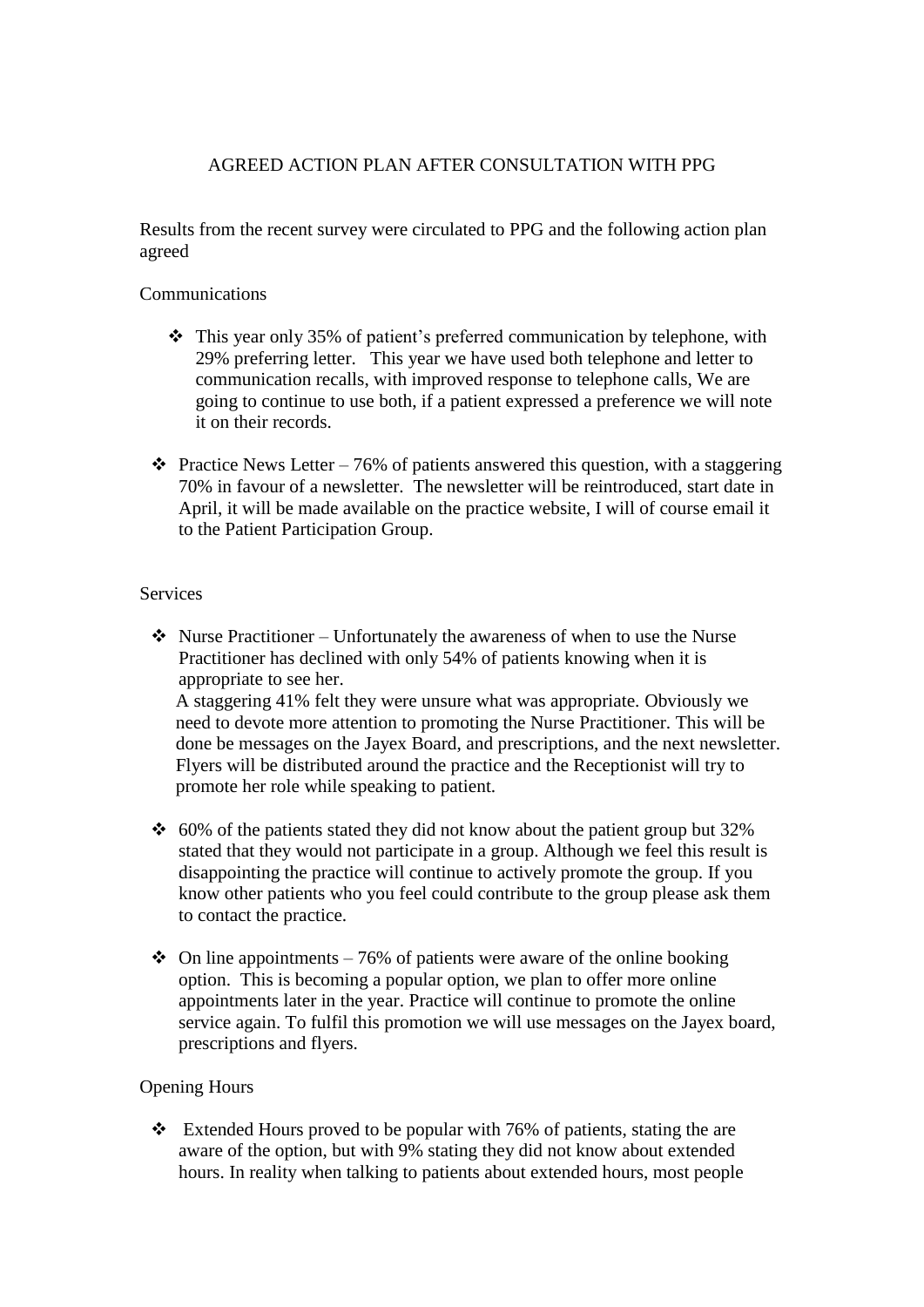# AGREED ACTION PLAN AFTER CONSULTATION WITH PPG

Results from the recent survey were circulated to PPG and the following action plan agreed

# Communications

- This year only 35% of patient's preferred communication by telephone, with 29% preferring letter. This year we have used both telephone and letter to communication recalls, with improved response to telephone calls, We are going to continue to use both, if a patient expressed a preference we will note it on their records.
- Practice News Letter 76% of patients answered this question, with a staggering 70% in favour of a newsletter. The newsletter will be reintroduced, start date in April, it will be made available on the practice website, I will of course email it to the Patient Participation Group.

# **Services**

 $\cdot \cdot$  Nurse Practitioner – Unfortunately the awareness of when to use the Nurse Practitioner has declined with only 54% of patients knowing when it is appropriate to see her.

A staggering 41% felt they were unsure what was appropriate. Obviously we need to devote more attention to promoting the Nurse Practitioner. This will be done be messages on the Jayex Board, and prescriptions, and the next newsletter. Flyers will be distributed around the practice and the Receptionist will try to promote her role while speaking to patient.

- $\div$  60% of the patients stated they did not know about the patient group but 32% stated that they would not participate in a group. Although we feel this result is disappointing the practice will continue to actively promote the group. If you know other patients who you feel could contribute to the group please ask them to contact the practice.
- $\div$  On line appointments 76% of patients were aware of the online booking option. This is becoming a popular option, we plan to offer more online appointments later in the year. Practice will continue to promote the online service again. To fulfil this promotion we will use messages on the Jayex board, prescriptions and flyers.

# Opening Hours

 $\cdot \cdot$  Extended Hours proved to be popular with 76% of patients, stating the are aware of the option, but with 9% stating they did not know about extended hours. In reality when talking to patients about extended hours, most people